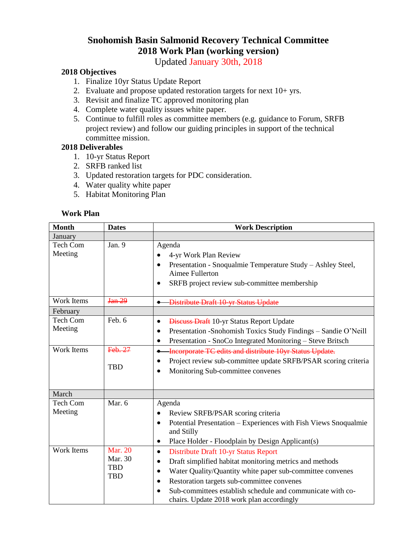## **Snohomish Basin Salmonid Recovery Technical Committee 2018 Work Plan (working version)**

Updated January 30th, 2018

## **2018 Objectives**

- 1. Finalize 10yr Status Update Report
- 2. Evaluate and propose updated restoration targets for next  $10+$  yrs.
- 3. Revisit and finalize TC approved monitoring plan
- 4. Complete water quality issues white paper.
- 5. Continue to fulfill roles as committee members (e.g. guidance to Forum, SRFB project review) and follow our guiding principles in support of the technical committee mission.

## **2018 Deliverables**

- 1. 10-yr Status Report
- 2. SRFB ranked list
- 3. Updated restoration targets for PDC consideration.
- 4. Water quality white paper
- 5. Habitat Monitoring Plan

## **Work Plan**

| <b>Month</b>               | <b>Dates</b>                                          | <b>Work Description</b>                                                                                                                                                                                                                                                                                                                                                                |
|----------------------------|-------------------------------------------------------|----------------------------------------------------------------------------------------------------------------------------------------------------------------------------------------------------------------------------------------------------------------------------------------------------------------------------------------------------------------------------------------|
| January                    |                                                       |                                                                                                                                                                                                                                                                                                                                                                                        |
| Tech Com<br>Meeting        | Jan. 9                                                | Agenda<br>4-yr Work Plan Review<br>$\bullet$<br>Presentation - Snoqualmie Temperature Study - Ashley Steel,<br>Aimee Fullerton<br>SRFB project review sub-committee membership                                                                                                                                                                                                         |
| Work Items                 | Jan 29                                                | Distribute Draft 10 yr Status Update                                                                                                                                                                                                                                                                                                                                                   |
| February                   |                                                       |                                                                                                                                                                                                                                                                                                                                                                                        |
| <b>Tech Com</b><br>Meeting | Feb. 6                                                | Discuss Draft 10-yr Status Report Update<br>$\bullet$<br>Presentation -Snohomish Toxics Study Findings - Sandie O'Neill<br>Presentation - SnoCo Integrated Monitoring – Steve Britsch<br>$\bullet$                                                                                                                                                                                     |
| <b>Work Items</b>          | Feb. 27<br><b>TBD</b>                                 | Incorporate TC edits and distribute 10yr Status Update.<br>Project review sub-committee update SRFB/PSAR scoring criteria<br>$\bullet$<br>Monitoring Sub-committee convenes                                                                                                                                                                                                            |
| March                      |                                                       |                                                                                                                                                                                                                                                                                                                                                                                        |
| <b>Tech Com</b><br>Meeting | Mar. 6                                                | Agenda<br>Review SRFB/PSAR scoring criteria<br>Potential Presentation - Experiences with Fish Views Snoqualmie<br>$\bullet$<br>and Stilly<br>Place Holder - Floodplain by Design Applicant(s)<br>٠                                                                                                                                                                                     |
| <b>Work Items</b>          | <b>Mar. 20</b><br>Mar. 30<br><b>TBD</b><br><b>TBD</b> | Distribute Draft 10-yr Status Report<br>$\bullet$<br>Draft simplified habitat monitoring metrics and methods<br>$\bullet$<br>Water Quality/Quantity white paper sub-committee convenes<br>$\bullet$<br>Restoration targets sub-committee convenes<br>$\bullet$<br>Sub-committees establish schedule and communicate with co-<br>$\bullet$<br>chairs. Update 2018 work plan accordingly |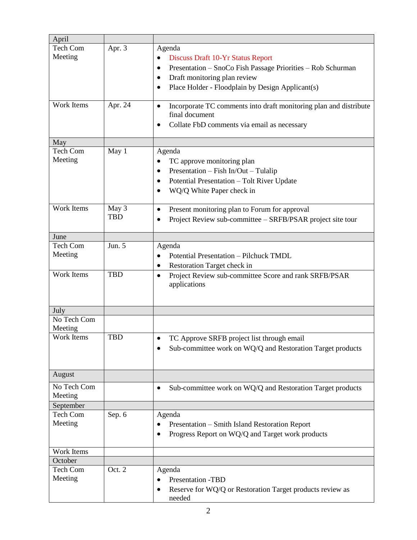| April             |            |                                                                        |
|-------------------|------------|------------------------------------------------------------------------|
| Tech Com          | Apr. 3     | Agenda                                                                 |
| Meeting           |            | Discuss Draft 10-Yr Status Report<br>$\bullet$                         |
|                   |            | Presentation - SnoCo Fish Passage Priorities - Rob Schurman            |
|                   |            | Draft monitoring plan review<br>٠                                      |
|                   |            | Place Holder - Floodplain by Design Applicant(s)                       |
|                   |            |                                                                        |
| Work Items        | Apr. 24    | Incorporate TC comments into draft monitoring plan and distribute<br>٠ |
|                   |            | final document                                                         |
|                   |            | Collate FbD comments via email as necessary                            |
|                   |            |                                                                        |
| May               |            |                                                                        |
| <b>Tech Com</b>   | May 1      | Agenda                                                                 |
| Meeting           |            | TC approve monitoring plan                                             |
|                   |            | Presentation - Fish In/Out - Tulalip<br>٠                              |
|                   |            | Potential Presentation - Tolt River Update                             |
|                   |            | WQ/Q White Paper check in                                              |
|                   |            |                                                                        |
| <b>Work Items</b> | May 3      | Present monitoring plan to Forum for approval<br>٠                     |
|                   | <b>TBD</b> | Project Review sub-committee – SRFB/PSAR project site tour             |
|                   |            |                                                                        |
| June              |            |                                                                        |
| Tech Com          | Jun. 5     | Agenda                                                                 |
| Meeting           |            | Potential Presentation - Pilchuck TMDL                                 |
|                   |            | Restoration Target check in<br>٠                                       |
| Work Items        | <b>TBD</b> | Project Review sub-committee Score and rank SRFB/PSAR<br>$\bullet$     |
|                   |            | applications                                                           |
|                   |            |                                                                        |
|                   |            |                                                                        |
| July              |            |                                                                        |
| No Tech Com       |            |                                                                        |
| Meeting           |            |                                                                        |
| Work Items        | <b>TBD</b> | TC Approve SRFB project list through email                             |
|                   |            | Sub-committee work on WQ/Q and Restoration Target products             |
|                   |            |                                                                        |
|                   |            |                                                                        |
| August            |            |                                                                        |
| No Tech Com       |            | Sub-committee work on WQ/Q and Restoration Target products             |
| Meeting           |            |                                                                        |
| September         |            |                                                                        |
| Tech Com          | Sep. 6     | Agenda                                                                 |
| Meeting           |            | Presentation - Smith Island Restoration Report                         |
|                   |            | Progress Report on WQ/Q and Target work products                       |
|                   |            |                                                                        |
| Work Items        |            |                                                                        |
| October           |            |                                                                        |
| Tech Com          | Oct. 2     | Agenda                                                                 |
| Meeting           |            | <b>Presentation -TBD</b>                                               |
|                   |            | Reserve for WQ/Q or Restoration Target products review as              |
|                   |            | needed                                                                 |
|                   |            |                                                                        |